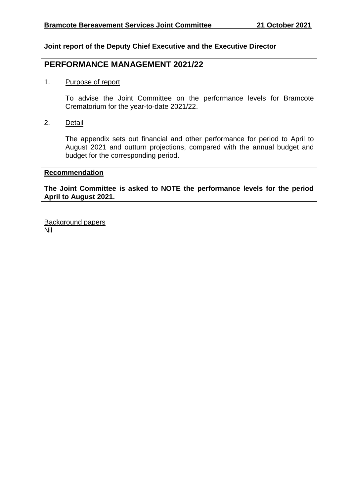### **Joint report of the Deputy Chief Executive and the Executive Director**

# **PERFORMANCE MANAGEMENT 2021/22**

#### 1. Purpose of report

To advise the Joint Committee on the performance levels for Bramcote Crematorium for the year-to-date 2021/22.

2. Detail

The appendix sets out financial and other performance for period to April to August 2021 and outturn projections, compared with the annual budget and budget for the corresponding period.

#### **Recommendation**

**The Joint Committee is asked to NOTE the performance levels for the period April to August 2021.**

Background papers Nil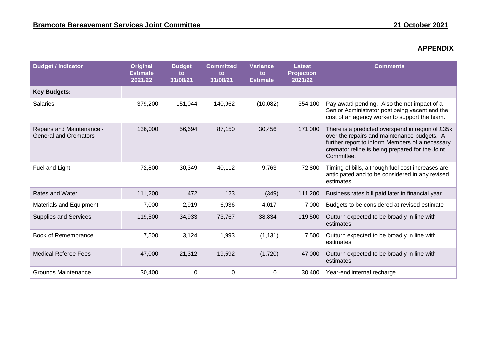## **APPENDIX**

| <b>Budget / Indicator</b>                                 | Original<br><b>Estimate</b><br>2021/22 | <b>Budget</b><br>to<br>31/08/21 | <b>Committed</b><br>to<br>31/08/21 | <b>Variance</b><br>to<br><b>Estimate</b> | <b>Latest</b><br><b>Projection</b><br>2021/22 | <b>Comments</b>                                                                                                                                                                                                     |
|-----------------------------------------------------------|----------------------------------------|---------------------------------|------------------------------------|------------------------------------------|-----------------------------------------------|---------------------------------------------------------------------------------------------------------------------------------------------------------------------------------------------------------------------|
| <b>Key Budgets:</b>                                       |                                        |                                 |                                    |                                          |                                               |                                                                                                                                                                                                                     |
| <b>Salaries</b>                                           | 379,200                                | 151,044                         | 140,962                            | (10,082)                                 | 354,100                                       | Pay award pending. Also the net impact of a<br>Senior Administrator post being vacant and the<br>cost of an agency worker to support the team.                                                                      |
| Repairs and Maintenance -<br><b>General and Cremators</b> | 136,000                                | 56,694                          | 87,150                             | 30,456                                   | 171,000                                       | There is a predicted overspend in region of £35k<br>over the repairs and maintenance budgets. A<br>further report to inform Members of a necessary<br>cremator reline is being prepared for the Joint<br>Committee. |
| Fuel and Light                                            | 72,800                                 | 30,349                          | 40,112                             | 9,763                                    | 72,800                                        | Timing of bills, although fuel cost increases are<br>anticipated and to be considered in any revised<br>estimates.                                                                                                  |
| <b>Rates and Water</b>                                    | 111,200                                | 472                             | 123                                | (349)                                    | 111,200                                       | Business rates bill paid later in financial year                                                                                                                                                                    |
| <b>Materials and Equipment</b>                            | 7,000                                  | 2,919                           | 6,936                              | 4,017                                    | 7,000                                         | Budgets to be considered at revised estimate                                                                                                                                                                        |
| <b>Supplies and Services</b>                              | 119,500                                | 34,933                          | 73,767                             | 38,834                                   | 119,500                                       | Outturn expected to be broadly in line with<br>estimates                                                                                                                                                            |
| Book of Remembrance                                       | 7,500                                  | 3,124                           | 1,993                              | (1, 131)                                 | 7,500                                         | Outturn expected to be broadly in line with<br>estimates                                                                                                                                                            |
| <b>Medical Referee Fees</b>                               | 47,000                                 | 21,312                          | 19,592                             | (1,720)                                  | 47,000                                        | Outturn expected to be broadly in line with<br>estimates                                                                                                                                                            |
| <b>Grounds Maintenance</b>                                | 30,400                                 | 0                               | 0                                  | $\Omega$                                 | 30.400                                        | Year-end internal recharge                                                                                                                                                                                          |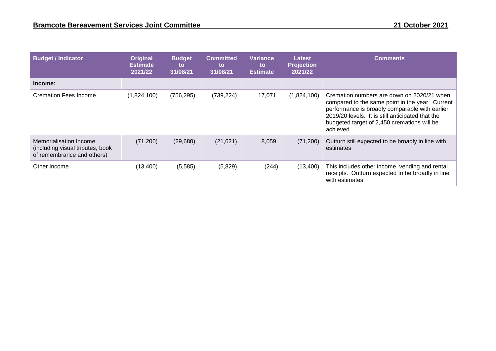| <b>Budget / Indicator</b>                                                                | Original<br><b>Estimate</b><br>2021/22 | <b>Budget</b><br>to<br>31/08/21 | <b>Committed</b><br><b>to</b><br>31/08/21 | Variance<br>to<br><b>Estimate</b> | <b>Latest</b><br><b>Projection</b><br>2021/22 | <b>Comments</b>                                                                                                                                                                                                                                                 |
|------------------------------------------------------------------------------------------|----------------------------------------|---------------------------------|-------------------------------------------|-----------------------------------|-----------------------------------------------|-----------------------------------------------------------------------------------------------------------------------------------------------------------------------------------------------------------------------------------------------------------------|
| Income:                                                                                  |                                        |                                 |                                           |                                   |                                               |                                                                                                                                                                                                                                                                 |
| <b>Cremation Fees Income</b>                                                             | (1,824,100)                            | (756, 295)                      | (739, 224)                                | 17,071                            | (1,824,100)                                   | Cremation numbers are down on 2020/21 when<br>compared to the same point in the year. Current<br>performance is broadly comparable with earlier<br>2019/20 levels. It is still anticipated that the<br>budgeted target of 2,450 cremations will be<br>achieved. |
| Memorialisation Income<br>(including visual tributes, book<br>of remembrance and others) | (71, 200)                              | (29,680)                        | (21, 621)                                 | 8,059                             | (71, 200)                                     | Outturn still expected to be broadly in line with<br>estimates                                                                                                                                                                                                  |
| Other Income                                                                             | (13,400)                               | (5,585)                         | (5,829)                                   | (244)                             | (13,400)                                      | This includes other income, vending and rental<br>receipts. Outturn expected to be broadly in line<br>with estimates                                                                                                                                            |